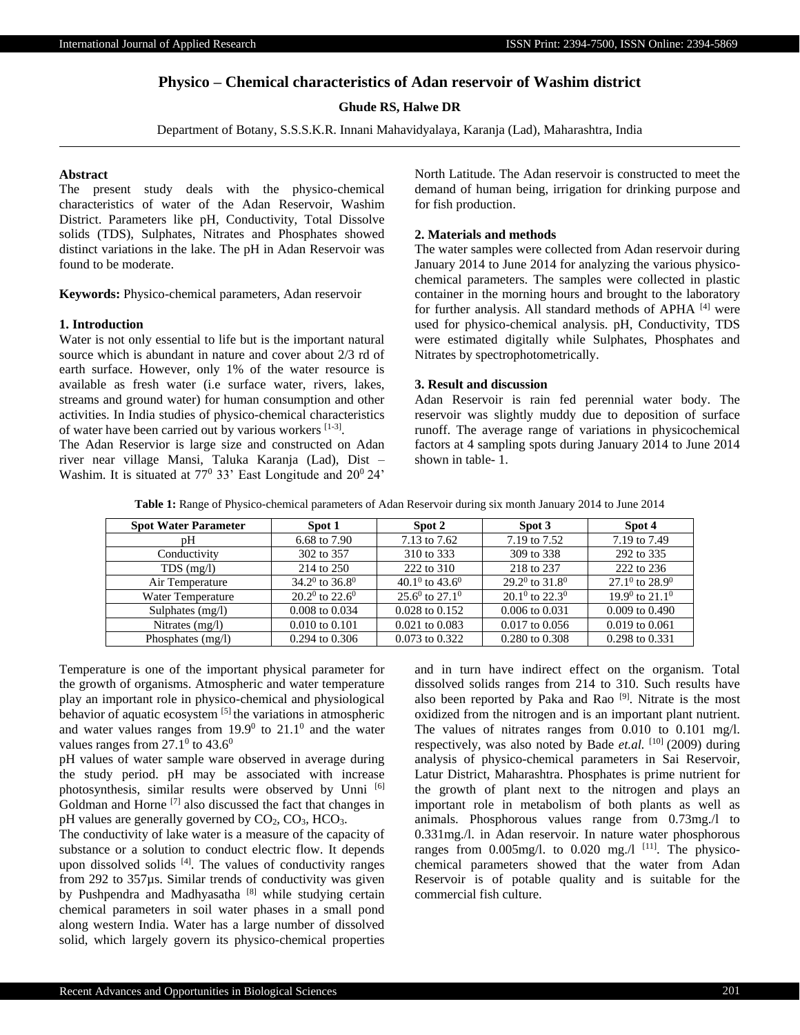# **Physico – Chemical characteristics of Adan reservoir of Washim district**

# **Ghude RS, Halwe DR**

Department of Botany, S.S.S.K.R. Innani Mahavidyalaya, Karanja (Lad), Maharashtra, India

### **Abstract**

The present study deals with the physico-chemical characteristics of water of the Adan Reservoir, Washim District. Parameters like pH, Conductivity, Total Dissolve solids (TDS), Sulphates, Nitrates and Phosphates showed distinct variations in the lake. The pH in Adan Reservoir was found to be moderate.

**Keywords:** Physico-chemical parameters, Adan reservoir

#### **1. Introduction**

Water is not only essential to life but is the important natural source which is abundant in nature and cover about 2/3 rd of earth surface. However, only 1% of the water resource is available as fresh water (i.e surface water, rivers, lakes, streams and ground water) for human consumption and other activities. In India studies of physico-chemical characteristics of water have been carried out by various workers [1-3].

The Adan Reservior is large size and constructed on Adan river near village Mansi, Taluka Karanja (Lad), Dist – Washim. It is situated at  $77^{\circ}$  33' East Longitude and  $20^{\circ}$  24'

North Latitude. The Adan reservoir is constructed to meet the demand of human being, irrigation for drinking purpose and for fish production.

# **2. Materials and methods**

The water samples were collected from Adan reservoir during January 2014 to June 2014 for analyzing the various physicochemical parameters. The samples were collected in plastic container in the morning hours and brought to the laboratory for further analysis. All standard methods of APHA [4] were used for physico-chemical analysis. pH, Conductivity, TDS were estimated digitally while Sulphates, Phosphates and Nitrates by spectrophotometrically.

# **3. Result and discussion**

Adan Reservoir is rain fed perennial water body. The reservoir was slightly muddy due to deposition of surface runoff. The average range of variations in physicochemical factors at 4 sampling spots during January 2014 to June 2014 shown in table- 1.

**Table 1:** Range of Physico-chemical parameters of Adan Reservoir during six month January 2014 to June 2014

| <b>Spot Water Parameter</b> | Spot 1                           | Spot 2                           | Spot 3                   | Spot 4                                 |
|-----------------------------|----------------------------------|----------------------------------|--------------------------|----------------------------------------|
| pH                          | 6.68 to 7.90                     | 7.13 to 7.62                     | 7.19 to 7.52             | 7.19 to 7.49                           |
| Conductivity                | 302 to 357                       | 310 to 333                       | 309 to 338               | 292 to 335                             |
| $TDS$ (mg/l)                | 214 to 250                       | 222 to 310                       | 218 to 237               | 222 to 236                             |
| Air Temperature             | $34.2^{\circ}$ to $36.8^{\circ}$ | $40.1^{0}$ to $43.6^{0}$         | $29.2^0$ to $31.8^0$     | $27.1^{0}$ to $28.9^{0}$               |
| Water Temperature           | $20.2^0$ to $22.6^0$             | $25.6^{\circ}$ to $27.1^{\circ}$ | $20.1^{0}$ to $22.3^{0}$ | 19.9 <sup>0</sup> to 21.1 <sup>0</sup> |
| Sulphates $(mg/l)$          | $0.008$ to $0.034$               | 0.028 to 0.152                   | $0.006$ to $0.031$       | $0.009$ to $0.490$                     |
| Nitrates $(mg/l)$           | $0.010$ to $0.101$               | $0.021$ to $0.083$               | $0.017$ to $0.056$       | $0.019$ to $0.061$                     |
| Phosphates $(mg/l)$         | $0.294$ to $0.306$               | $0.073$ to $0.322$               | 0.280 to 0.308           | 0.298 to 0.331                         |

Temperature is one of the important physical parameter for the growth of organisms. Atmospheric and water temperature play an important role in physico-chemical and physiological behavior of aquatic ecosystem [5] the variations in atmospheric and water values ranges from  $19.9^{\circ}$  to  $21.1^{\circ}$  and the water values ranges from  $27.1^{\circ}$  to  $43.6^{\circ}$ 

pH values of water sample ware observed in average during the study period. pH may be associated with increase photosynthesis, similar results were observed by Unni [6] Goldman and Horne [7] also discussed the fact that changes in pH values are generally governed by  $CO<sub>2</sub>, CO<sub>3</sub>, HCO<sub>3</sub>$ .

The conductivity of lake water is a measure of the capacity of substance or a solution to conduct electric flow. It depends upon dissolved solids [4]. The values of conductivity ranges from 292 to 357µs. Similar trends of conductivity was given by Pushpendra and Madhyasatha<sup>[8]</sup> while studying certain chemical parameters in soil water phases in a small pond along western India. Water has a large number of dissolved solid, which largely govern its physico-chemical properties

and in turn have indirect effect on the organism. Total dissolved solids ranges from 214 to 310. Such results have also been reported by Paka and Rao <sup>[9]</sup>. Nitrate is the most oxidized from the nitrogen and is an important plant nutrient. The values of nitrates ranges from 0.010 to 0.101 mg/l. respectively, was also noted by Bade *et.al.* [10] (2009) during analysis of physico-chemical parameters in Sai Reservoir, Latur District, Maharashtra. Phosphates is prime nutrient for the growth of plant next to the nitrogen and plays an important role in metabolism of both plants as well as animals. Phosphorous values range from 0.73mg./l to 0.331mg./l. in Adan reservoir. In nature water phosphorous ranges from  $0.005$ mg/l. to  $0.020$  mg/l  $^{[11]}$ . The physicochemical parameters showed that the water from Adan Reservoir is of potable quality and is suitable for the commercial fish culture.